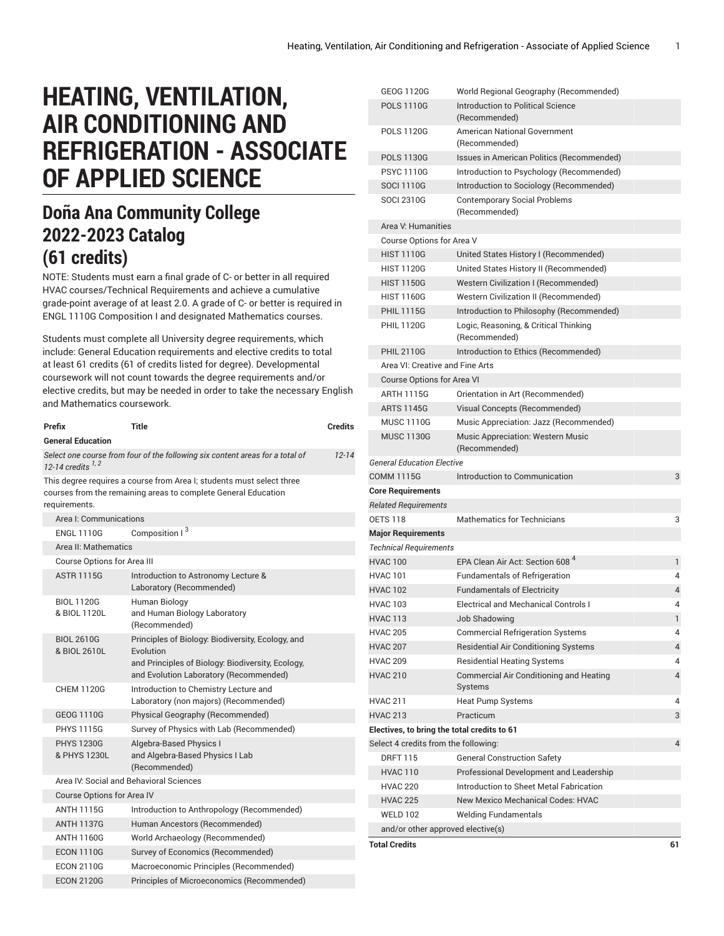# **HEATING, VENTILATION, AIR CONDITIONING AND REFRIGERATION - ASSOCIATE OF APPLIED SCIENCE**

# **Doña Ana Community College 2022-2023 Catalog (61 credits)**

NOTE: Students must earn a final grade of C- or better in all required HVAC courses/Technical Requirements and achieve a cumulative grade-point average of at least 2.0. A grade of C- or better is required in ENGL 1110G Composition I and designated Mathematics courses.

Students must complete all University degree requirements, which include: General Education requirements and elective credits to total at least 61 credits (61 of credits listed for degree). Developmental coursework will not count towards the degree requirements and/or elective credits, but may be needed in order to take the necessary English and Mathematics coursework.

|                                                                                                                    | Prefix                            | Title                                                                                                                                                         | <b>Credits</b> |  |  |  |
|--------------------------------------------------------------------------------------------------------------------|-----------------------------------|---------------------------------------------------------------------------------------------------------------------------------------------------------------|----------------|--|--|--|
| <b>General Education</b>                                                                                           |                                   |                                                                                                                                                               |                |  |  |  |
| Select one course from four of the following six content areas for a total of<br>$12 - 14$<br>12-14 credits $1, 2$ |                                   |                                                                                                                                                               |                |  |  |  |
|                                                                                                                    | requirements.                     | This degree requires a course from Area I; students must select three<br>courses from the remaining areas to complete General Education                       |                |  |  |  |
|                                                                                                                    | Area I: Communications            |                                                                                                                                                               |                |  |  |  |
|                                                                                                                    | <b>ENGL 1110G</b>                 | Composition I <sup>3</sup>                                                                                                                                    |                |  |  |  |
|                                                                                                                    | Area II: Mathematics              |                                                                                                                                                               |                |  |  |  |
|                                                                                                                    | Course Options for Area III       |                                                                                                                                                               |                |  |  |  |
|                                                                                                                    | <b>ASTR 1115G</b>                 | Introduction to Astronomy Lecture &<br>Laboratory (Recommended)                                                                                               |                |  |  |  |
|                                                                                                                    | <b>BIOL 1120G</b><br>& BIOL 1120L | Human Biology<br>and Human Biology Laboratory<br>(Recommended)                                                                                                |                |  |  |  |
|                                                                                                                    | <b>BIOL 2610G</b><br>& BIOL 2610L | Principles of Biology: Biodiversity, Ecology, and<br>Evolution<br>and Principles of Biology: Biodiversity, Ecology,<br>and Evolution Laboratory (Recommended) |                |  |  |  |
|                                                                                                                    | <b>CHEM 1120G</b>                 | Introduction to Chemistry Lecture and<br>Laboratory (non majors) (Recommended)                                                                                |                |  |  |  |
|                                                                                                                    | GEOG 1110G                        | Physical Geography (Recommended)                                                                                                                              |                |  |  |  |
|                                                                                                                    | <b>PHYS 1115G</b>                 | Survey of Physics with Lab (Recommended)                                                                                                                      |                |  |  |  |
|                                                                                                                    | <b>PHYS 1230G</b><br>& PHYS 1230L | Algebra-Based Physics I<br>and Algebra-Based Physics I Lab<br>(Recommended)                                                                                   |                |  |  |  |
|                                                                                                                    |                                   | Area IV: Social and Behavioral Sciences                                                                                                                       |                |  |  |  |
|                                                                                                                    | <b>Course Options for Area IV</b> |                                                                                                                                                               |                |  |  |  |
|                                                                                                                    | <b>ANTH 1115G</b>                 | Introduction to Anthropology (Recommended)                                                                                                                    |                |  |  |  |
|                                                                                                                    | <b>ANTH 1137G</b>                 | Human Ancestors (Recommended)                                                                                                                                 |                |  |  |  |
|                                                                                                                    | ANTH 1160G                        | World Archaeology (Recommended)                                                                                                                               |                |  |  |  |
|                                                                                                                    | <b>ECON 1110G</b>                 | Survey of Economics (Recommended)                                                                                                                             |                |  |  |  |
|                                                                                                                    | <b>ECON 2110G</b>                 | Macroeconomic Principles (Recommended)                                                                                                                        |                |  |  |  |
|                                                                                                                    | <b>ECON 2120G</b>                 | Principles of Microeconomics (Recommended)                                                                                                                    |                |  |  |  |

| GEOG 1120G                                  | World Regional Geography (Recommended)                    |              |
|---------------------------------------------|-----------------------------------------------------------|--------------|
| <b>POLS 1110G</b>                           | Introduction to Political Science<br>(Recommended)        |              |
| <b>POLS 1120G</b>                           | <b>American National Government</b><br>(Recommended)      |              |
| <b>POLS 1130G</b>                           | Issues in American Politics (Recommended)                 |              |
| <b>PSYC 1110G</b>                           | Introduction to Psychology (Recommended)                  |              |
| <b>SOCI 1110G</b>                           | Introduction to Sociology (Recommended)                   |              |
| <b>SOCI 2310G</b>                           | <b>Contemporary Social Problems</b><br>(Recommended)      |              |
| Area V: Humanities                          |                                                           |              |
| Course Options for Area V                   |                                                           |              |
| <b>HIST 1110G</b>                           | United States History I (Recommended)                     |              |
| <b>HIST 1120G</b>                           | United States History II (Recommended)                    |              |
| <b>HIST 1150G</b>                           | Western Civilization I (Recommended)                      |              |
| <b>HIST 1160G</b>                           | Western Civilization II (Recommended)                     |              |
| <b>PHIL 1115G</b>                           | Introduction to Philosophy (Recommended)                  |              |
| <b>PHIL 1120G</b>                           | Logic, Reasoning, & Critical Thinking<br>(Recommended)    |              |
| <b>PHIL 2110G</b>                           | Introduction to Ethics (Recommended)                      |              |
| Area VI: Creative and Fine Arts             |                                                           |              |
| <b>Course Options for Area VI</b>           |                                                           |              |
| ARTH 1115G                                  | Orientation in Art (Recommended)                          |              |
| <b>ARTS 1145G</b>                           | Visual Concepts (Recommended)                             |              |
| <b>MUSC 1110G</b>                           | Music Appreciation: Jazz (Recommended)                    |              |
| <b>MUSC 1130G</b>                           | <b>Music Appreciation: Western Music</b><br>(Recommended) |              |
| <b>General Education Elective</b>           |                                                           |              |
| <b>COMM 1115G</b>                           | Introduction to Communication                             | 3            |
| <b>Core Requirements</b>                    |                                                           |              |
| <b>Related Requirements</b>                 |                                                           |              |
| <b>OETS 118</b>                             | Mathematics for Technicians                               | 3            |
| <b>Major Requirements</b>                   |                                                           |              |
| <b>Technical Requirements</b>               |                                                           |              |
| <b>HVAC 100</b>                             | EPA Clean Air Act: Section 608 <sup>4</sup>               | $\mathbf{1}$ |
| <b>HVAC 101</b>                             | <b>Fundamentals of Refrigeration</b>                      | 4            |
| <b>HVAC 102</b>                             | <b>Fundamentals of Electricity</b>                        | 4            |
| <b>HVAC 103</b>                             | <b>Electrical and Mechanical Controls I</b>               | 4            |
| <b>HVAC 113</b>                             | Job Shadowing                                             | 1            |
| <b>HVAC 205</b>                             | <b>Commercial Refrigeration Systems</b>                   | 4            |
| <b>HVAC 207</b>                             | <b>Residential Air Conditioning Systems</b>               | 4            |
| <b>HVAC 209</b>                             | <b>Residential Heating Systems</b>                        | 4            |
| <b>HVAC 210</b>                             | Commercial Air Conditioning and Heating<br>Systems        | 4            |
| <b>HVAC 211</b>                             | <b>Heat Pump Systems</b>                                  | 4            |
| <b>HVAC 213</b>                             | Practicum                                                 | 3            |
| Electives, to bring the total credits to 61 |                                                           |              |
| Select 4 credits from the following:        |                                                           | 4            |
| <b>DRFT 115</b>                             | <b>General Construction Safety</b>                        |              |
| <b>HVAC 110</b>                             | Professional Development and Leadership                   |              |
| <b>HVAC 220</b>                             | Introduction to Sheet Metal Fabrication                   |              |
| <b>HVAC 225</b>                             | <b>New Mexico Mechanical Codes: HVAC</b>                  |              |
| <b>WELD 102</b>                             | <b>Welding Fundamentals</b>                               |              |
| and/or other approved elective(s)           |                                                           |              |
| <b>Total Credits</b>                        |                                                           | 61           |